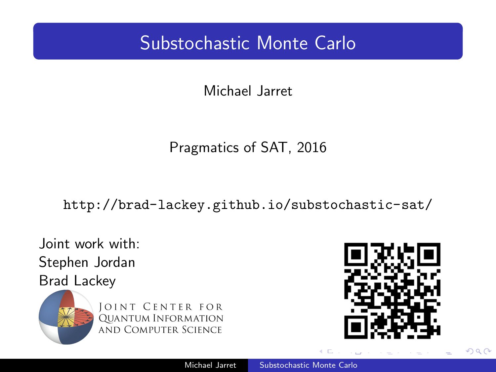## <span id="page-0-0"></span>Substochastic Monte Carlo

Michael Jarret

## Pragmatics of SAT, 2016

<http://brad-lackey.github.io/substochastic-sat/>

Joint work with: Stephen Jordan Brad Lackey



**JOINT CENTER FOR QUANTUM INFORMATION AND COMPUTER SCIENCE** 



 $QQ$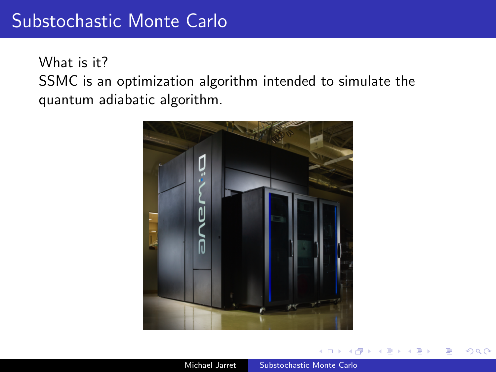What is it? SSMC is an optimization algorithm intended to simulate the quantum adiabatic algorithm.

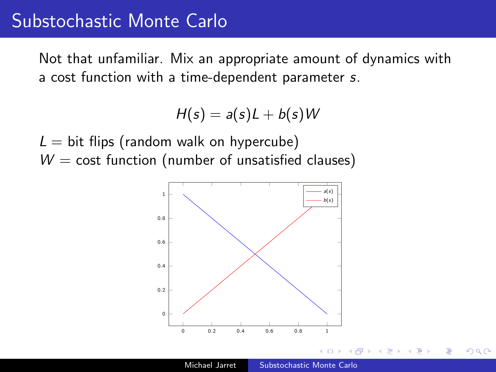## Substochastic Monte Carlo

Not that unfamiliar. Mix an appropriate amount of dynamics with a cost function with a time-dependent parameter s.

 $H(s) = a(s)L + b(s)W$ 

 $L =$  bit flips (random walk on hypercube)  $W = \text{cost function}$  (number of unsatisfied clauses)

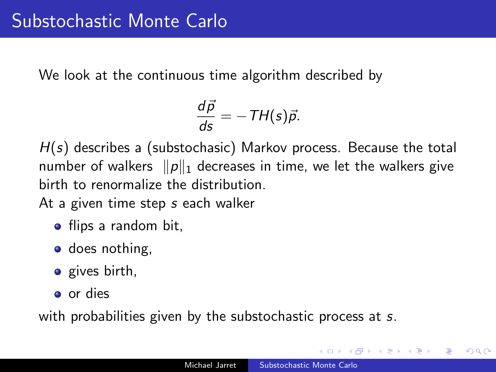We look at the continuous time algorithm described by

$$
\frac{d\vec{p}}{ds}=-TH(s)\vec{p}.
$$

 $H(s)$  describes a (substochasic) Markov process. Because the total number of walkers  $\|p\|_1$  decreases in time, we let the walkers give birth to renormalize the distribution.

At a given time step s each walker

- flips a random bit,
- does nothing,
- $\bullet$  gives birth,
- o or dies

with probabilities given by the substochastic process at s.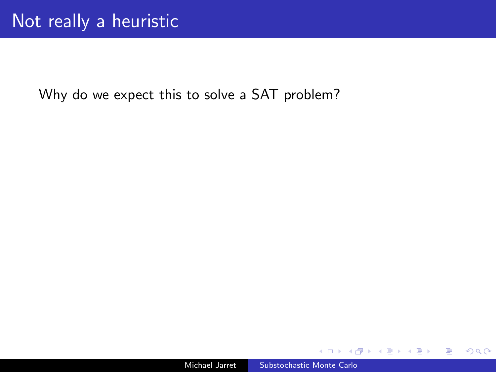Why do we expect this to solve a SAT problem?

 $299$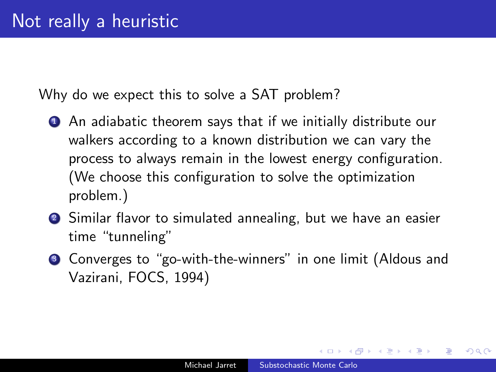Why do we expect this to solve a SAT problem?

- **1** An adiabatic theorem says that if we initially distribute our walkers according to a known distribution we can vary the process to always remain in the lowest energy configuration. (We choose this configuration to solve the optimization problem.)
- **2** Similar flavor to simulated annealing, but we have an easier time "tunneling"
- <sup>3</sup> Converges to "go-with-the-winners" in one limit (Aldous and Vazirani, FOCS, 1994)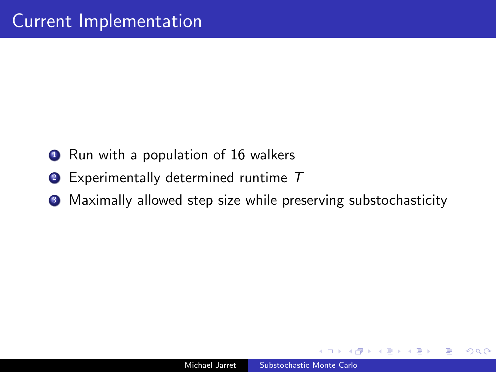- **1** Run with a population of 16 walkers
- <sup>2</sup> Experimentally determined runtime T
- <sup>3</sup> Maximally allowed step size while preserving substochasticity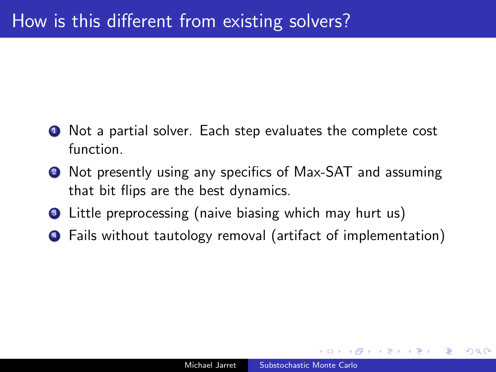- **1** Not a partial solver. Each step evaluates the complete cost function.
- <sup>2</sup> Not presently using any specifics of Max-SAT and assuming that bit flips are the best dynamics.
- **3** Little preprocessing (naive biasing which may hurt us)
- <sup>4</sup> Fails without tautology removal (artifact of implementation)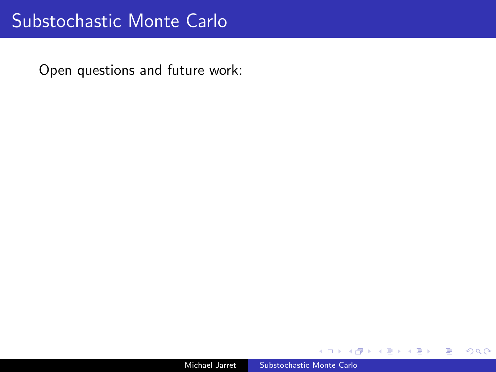Open questions and future work:

 $2Q$ 

∍

э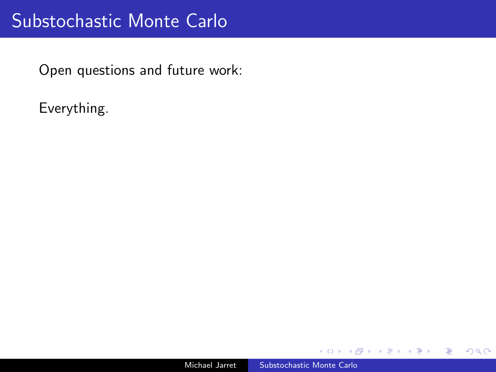Open questions and future work:

Everything.

 $2Q$ 

∍

э

 $\sim$ 

∍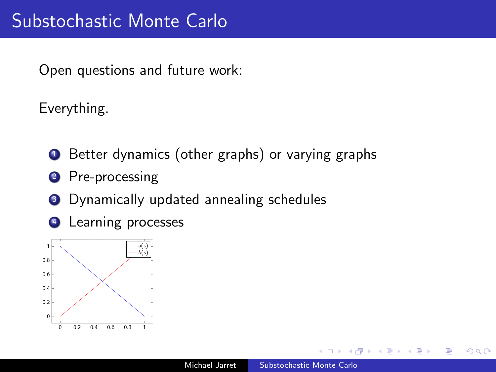Open questions and future work:

Everything.

- **1** Better dynamics (other graphs) or varying graphs
- 2 Pre-processing
- <sup>3</sup> Dynamically updated annealing schedules
- <sup>4</sup> Learning processes



 $QQ$